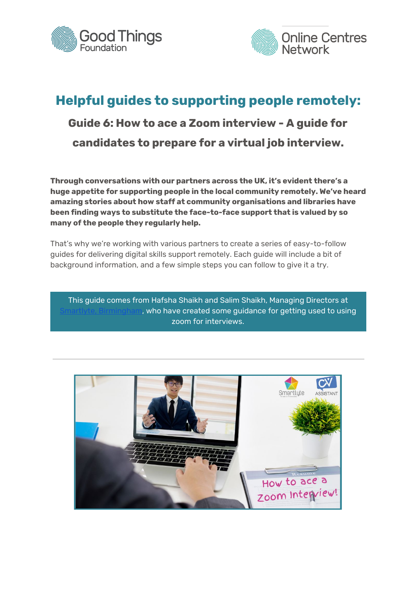



# **Helpful guides to supporting people remotely: Guide 6: How to ace a Zoom interview - A guide for candidates to prepare for a virtual job interview.**

**Through conversations with our partners across the UK, it's evident there's a huge appetite for supporting people in the local community remotely. We've heard amazing stories about how staff at community organisations and libraries have been finding ways to substitute the face-to-face support that is valued by so many of the people they regularly help.**

That's why we're working with various partners to create a series of easy-to-follow guides for delivering digital skills support remotely. Each guide will include a bit of background information, and a few simple steps you can follow to give it a try.

This guide comes from Hafsha Shaikh and Salim Shaikh, Managing Directors at , who have created some guidance for getting used to using zoom for interviews.

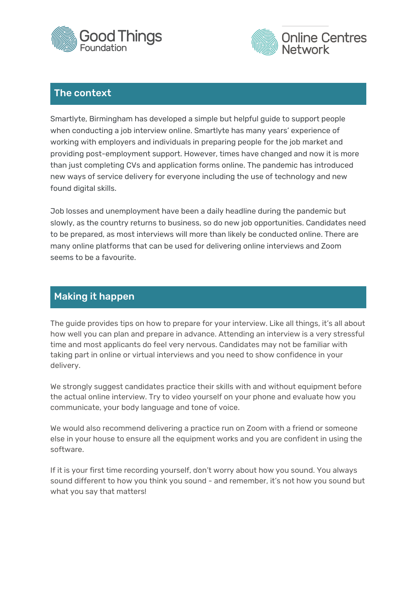



## The context

Smartlyte, Birmingham has developed a simple but helpful guide to support people when conducting a job interview online. Smartlyte has many years' experience of working with employers and individuals in preparing people for the job market and providing post-employment support. However, times have changed and now it is more than just completing CVs and application forms online. The pandemic has introduced new ways of service delivery for everyone including the use of technology and new found digital skills.

Job losses and unemployment have been a daily headline during the pandemic but slowly, as the country returns to business, so do new job opportunities. Candidates need to be prepared, as most interviews will more than likely be conducted online. There are many online platforms that can be used for delivering online interviews and Zoom seems to be a favourite.

# Making it happen

The guide provides tips on how to prepare for your interview. Like all things, it's all about how well you can plan and prepare in advance. Attending an interview is a very stressful time and most applicants do feel very nervous. Candidates may not be familiar with taking part in online or virtual interviews and you need to show confidence in your delivery.

We strongly suggest candidates practice their skills with and without equipment before the actual online interview. Try to video yourself on your phone and evaluate how you communicate, your body language and tone of voice.

We would also recommend delivering a practice run on Zoom with a friend or someone else in your house to ensure all the equipment works and you are confident in using the software.

If it is your first time recording yourself, don't worry about how you sound. You always sound different to how you think you sound - and remember, it's not how you sound but what you say that matters!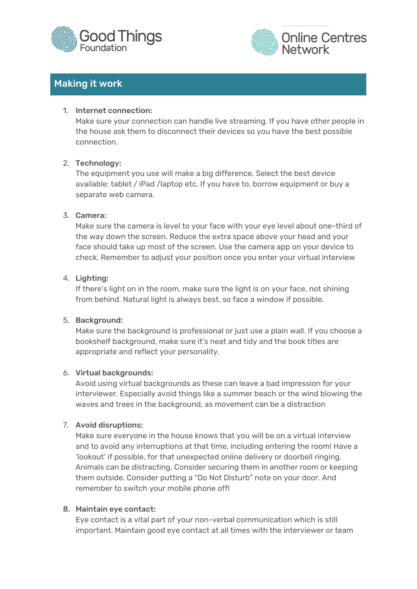



# Making it work

#### 1. Internet connection:

Make sure your connection can handle live streaming. If you have other people in the house ask them to disconnect their devices so you have the best possible connection.

#### 2. Technology:

The equipment you use will make a big difference. Select the best device available: tablet / iPad /laptop etc. If you have to, borrow equipment or buy a separate web camera.

#### 3. Camera:

Make sure the camera is level to your face with your eye level about one-third of the way down the screen. Reduce the extra space above your head and your face should take up most of the screen. Use the camera app on your device to check. Remember to adjust your position once you enter your virtual interview

#### 4. Lighting:

If there's light on in the room, make sure the light is on your face, not shining from behind. Natural light is always best, so face a window if possible.

## 5. Background:

Make sure the background is professional or just use a plain wall. If you choose a bookshelf background, make sure it's neat and tidy and the book titles are appropriate and reflect your personality.

## 6. Virtual backgrounds:

Avoid using virtual backgrounds as these can leave a bad impression for your interviewer. Especially avoid things like a summer beach or the wind blowing the waves and trees in the background, as movement can be a distraction

## 7. Avoid disruptions:

Make sure everyone in the house knows that you will be on a virtual interview and to avoid any interruptions at that time, including entering the room! Have a 'lookout' if possible, for that unexpected online delivery or doorbell ringing. Animals can be distracting. Consider securing them in another room or keeping them outside. Consider putting a "Do Not Disturb" note on your door. And remember to switch your mobile phone off!

#### 8. Maintain eye contact:

Eye contact is a vital part of your non-verbal communication which is still important. Maintain good eye contact at all times with the interviewer or team